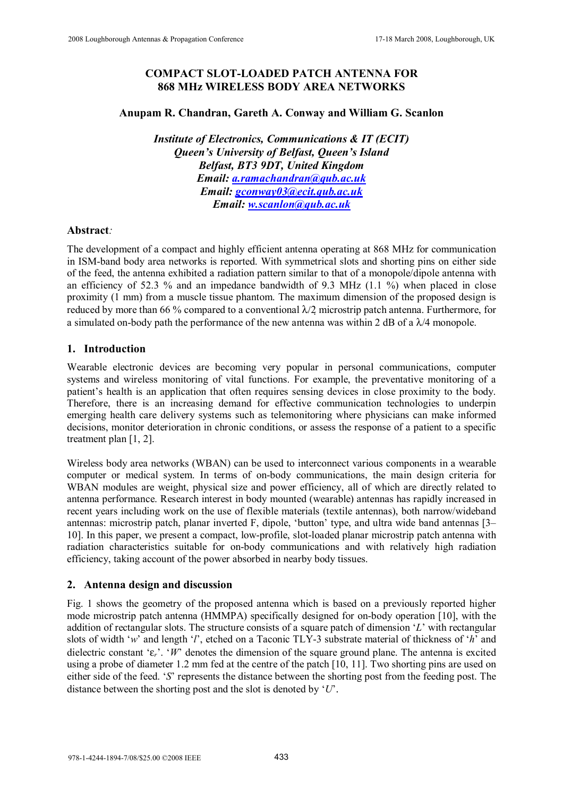# **COMPACT SLOT-LOADED PATCH ANTENNA FOR 868 MHz WIRELESS BODY AREA NETWORKS**

## **Anupam R. Chandran, Gareth A. Conway and William G. Scanlon**

*Institute of Electronics, Communications & IT (ECIT) Queen's University of Belfast, Queen's Island Belfast, BT3 9DT, United Kingdom Email: a.ramachandran@qub.ac.uk Email: gconway03@ecit.qub.ac.uk Email: w.scanlon@qub.ac.uk*

# **Abstract***:*

The development of a compact and highly efficient antenna operating at 868 MHz for communication in ISM-band body area networks is reported. With symmetrical slots and shorting pins on either side of the feed, the antenna exhibited a radiation pattern similar to that of a monopole/dipole antenna with an efficiency of 52.3 % and an impedance bandwidth of 9.3 MHz  $(1.1 \%)$  when placed in close proximity (1 mm) from a muscle tissue phantom. The maximum dimension of the proposed design is reduced by more than 66 % compared to a conventional  $\lambda/2$  microstrip patch antenna. Furthermore, for a simulated on-body path the performance of the new antenna was within 2 dB of a  $\lambda$ /4 monopole.

# **1. Introduction**

Wearable electronic devices are becoming very popular in personal communications, computer systems and wireless monitoring of vital functions. For example, the preventative monitoring of a patient's health is an application that often requires sensing devices in close proximity to the body. Therefore, there is an increasing demand for effective communication technologies to underpin emerging health care delivery systems such as telemonitoring where physicians can make informed decisions, monitor deterioration in chronic conditions, or assess the response of a patient to a specific treatment plan [1, 2].

Wireless body area networks (WBAN) can be used to interconnect various components in a wearable computer or medical system. In terms of on-body communications, the main design criteria for WBAN modules are weight, physical size and power efficiency, all of which are directly related to antenna performance. Research interest in body mounted (wearable) antennas has rapidly increased in recent years including work on the use of flexible materials (textile antennas), both narrow/wideband antennas: microstrip patch, planar inverted F, dipole, 'button' type, and ultra wide band antennas [3– 10]. In this paper, we present a compact, low-profile, slot-loaded planar microstrip patch antenna with radiation characteristics suitable for on-body communications and with relatively high radiation efficiency, taking account of the power absorbed in nearby body tissues. 2308 Loughborough Antennas & Propagation Conference 17-18 March 2008 Conference 17-18 March 2008 2008 NGC 17-18 Conference 17-18 March 2008 NGC 17-18 March 2008 2008 NGC 17-18 March 2008 2008 NGC 17-18 March 2008 2008 NGC

# **2. Antenna design and discussion**

Fig. 1 shows the geometry of the proposed antenna which is based on a previously reported higher mode microstrip patch antenna (HMMPA) specifically designed for on-body operation [10], with the addition of rectangular slots. The structure consists of a square patch of dimension '*L*' with rectangular slots of width '*w*' and length '*l*', etched on a Taconic TLY-3 substrate material of thickness of '*h*' and dielectric constant 'ε*r*'. '*W*' denotes the dimension of the square ground plane. The antenna is excited using a probe of diameter 1.2 mm fed at the centre of the patch [10, 11]. Two shorting pins are used on either side of the feed. '*S*' represents the distance between the shorting post from the feeding post. The distance between the shorting post and the slot is denoted by '*U*'.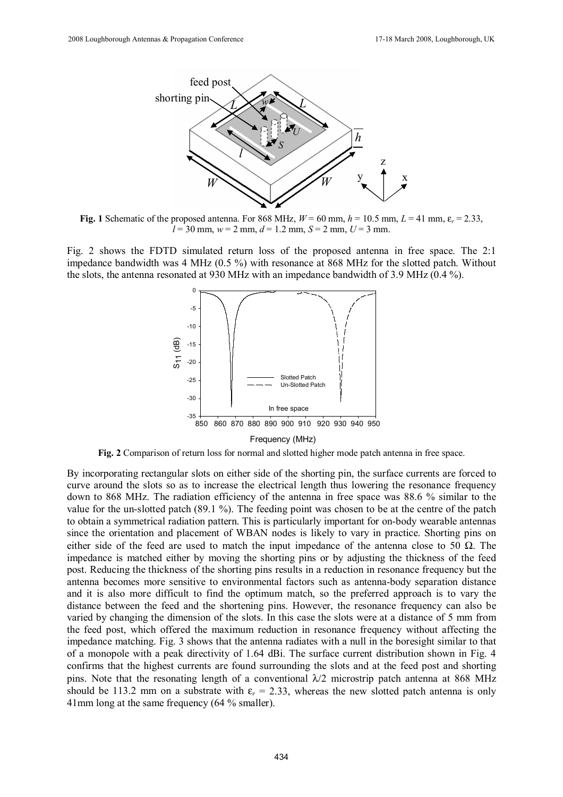

**Fig.** 1 Schematic of the proposed antenna. For 868 MHz,  $W = 60$  mm,  $h = 10.5$  mm,  $L = 41$  mm,  $\varepsilon_r = 2.33$ ,  $l = 30$  mm,  $w = 2$  mm,  $d = 1.2$  mm,  $S = 2$  mm,  $U = 3$  mm.

Fig. 2 shows the FDTD simulated return loss of the proposed antenna in free space. The 2:1 impedance bandwidth was 4 MHz (0.5 %) with resonance at 868 MHz for the slotted patch. Without the slots, the antenna resonated at 930 MHz with an impedance bandwidth of 3.9 MHz (0.4 %).



**Fig. 2** Comparison of return loss for normal and slotted higher mode patch antenna in free space.

By incorporating rectangular slots on either side of the shorting pin, the surface currents are forced to curve around the slots so as to increase the electrical length thus lowering the resonance frequency down to 868 MHz. The radiation efficiency of the antenna in free space was 88.6 % similar to the value for the un-slotted patch (89.1 %). The feeding point was chosen to be at the centre of the patch to obtain a symmetrical radiation pattern. This is particularly important for on-body wearable antennas since the orientation and placement of WBAN nodes is likely to vary in practice. Shorting pins on either side of the feed are used to match the input impedance of the antenna close to 50  $\Omega$ . The impedance is matched either by moving the shorting pins or by adjusting the thickness of the feed post. Reducing the thickness of the shorting pins results in a reduction in resonance frequency but the antenna becomes more sensitive to environmental factors such as antenna-body separation distance and it is also more difficult to find the optimum match, so the preferred approach is to vary the distance between the feed and the shortening pins. However, the resonance frequency can also be varied by changing the dimension of the slots. In this case the slots were at a distance of 5 mm from the feed post, which offered the maximum reduction in resonance frequency without affecting the impedance matching. Fig. 3 shows that the antenna radiates with a null in the boresight similar to that of a monopole with a peak directivity of 1.64 dBi. The surface current distribution shown in Fig. 4 confirms that the highest currents are found surrounding the slots and at the feed post and shorting pins. Note that the resonating length of a conventional  $\lambda/2$  microstrip patch antenna at 868 MHz should be 113.2 mm on a substrate with  $\varepsilon_r = 2.33$ , whereas the new slotted patch antenna is only 41mm long at the same frequency (64 % smaller). 434 2008 Loughborough Antennas & Propagation Conference 17-18 March 2008 Loughborough Antennas British Distribution Conference 18-18 March 2008 Loughborough Antennas British Distribution Conference 18-18 March 2008, Lough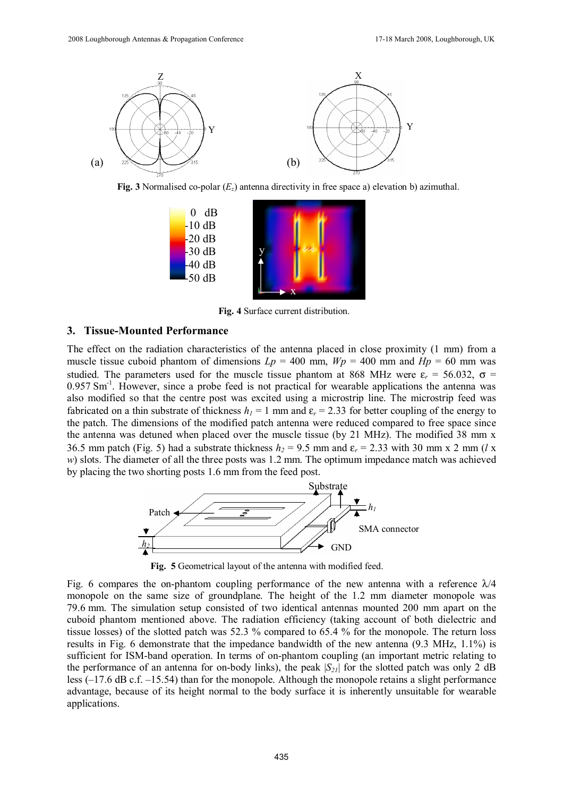

**Fig. 3** Normalised co-polar (*Ez*) antenna directivity in free space a) elevation b) azimuthal.



**Fig. 4** Surface current distribution.

#### **3. Tissue-Mounted Performance**

The effect on the radiation characteristics of the antenna placed in close proximity (1 mm) from a muscle tissue cuboid phantom of dimensions  $Lp = 400$  mm,  $Wp = 400$  mm and  $Hp = 60$  mm was studied. The parameters used for the muscle tissue phantom at 868 MHz were  $\varepsilon_r = 56.032$ ,  $\sigma =$ 0.957 Sm<sup>-1</sup>. However, since a probe feed is not practical for wearable applications the antenna was also modified so that the centre post was excited using a microstrip line. The microstrip feed was fabricated on a thin substrate of thickness  $h_1 = 1$  mm and  $\varepsilon_r = 2.33$  for better coupling of the energy to the patch. The dimensions of the modified patch antenna were reduced compared to free space since the antenna was detuned when placed over the muscle tissue (by 21 MHz). The modified 38 mm x 36.5 mm patch (Fig. 5) had a substrate thickness  $h_2 = 9.5$  mm and  $\varepsilon_r = 2.33$  with 30 mm x 2 mm (*l* x *w*) slots. The diameter of all the three posts was 1.2 mm. The optimum impedance match was achieved by placing the two shorting posts 1.6 mm from the feed post. 435 2008 Loughborough Antennas & Propagation Conference 17-18 March 2008, Loughborough, UK



**Fig. 5** Geometrical layout of the antenna with modified feed.

Fig. 6 compares the on-phantom coupling performance of the new antenna with a reference  $\lambda/4$ monopole on the same size of groundplane. The height of the 1.2 mm diameter monopole was 79.6 mm. The simulation setup consisted of two identical antennas mounted 200 mm apart on the cuboid phantom mentioned above. The radiation efficiency (taking account of both dielectric and tissue losses) of the slotted patch was 52.3 % compared to 65.4 % for the monopole. The return loss results in Fig. 6 demonstrate that the impedance bandwidth of the new antenna (9.3 MHz, 1.1%) is sufficient for ISM-band operation. In terms of on-phantom coupling (an important metric relating to the performance of an antenna for on-body links), the peak  $|S_{21}|$  for the slotted patch was only 2 dB less (–17.6 dB c.f. –15.54) than for the monopole. Although the monopole retains a slight performance advantage, because of its height normal to the body surface it is inherently unsuitable for wearable applications.